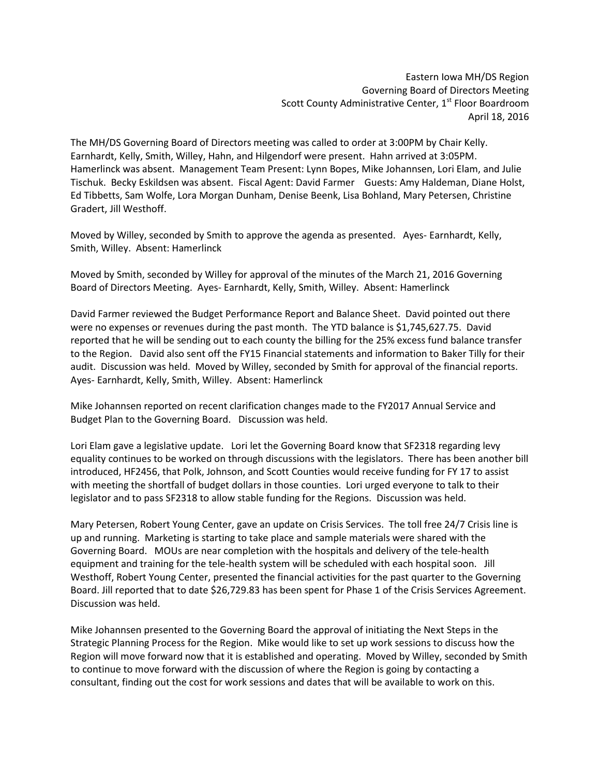Eastern Iowa MH/DS Region Governing Board of Directors Meeting Scott County Administrative Center, 1<sup>st</sup> Floor Boardroom April 18, 2016

The MH/DS Governing Board of Directors meeting was called to order at 3:00PM by Chair Kelly. Earnhardt, Kelly, Smith, Willey, Hahn, and Hilgendorf were present. Hahn arrived at 3:05PM. Hamerlinck was absent. Management Team Present: Lynn Bopes, Mike Johannsen, Lori Elam, and Julie Tischuk. Becky Eskildsen was absent. Fiscal Agent: David Farmer Guests: Amy Haldeman, Diane Holst, Ed Tibbetts, Sam Wolfe, Lora Morgan Dunham, Denise Beenk, Lisa Bohland, Mary Petersen, Christine Gradert, Jill Westhoff.

Moved by Willey, seconded by Smith to approve the agenda as presented. Ayes- Earnhardt, Kelly, Smith, Willey. Absent: Hamerlinck

Moved by Smith, seconded by Willey for approval of the minutes of the March 21, 2016 Governing Board of Directors Meeting. Ayes- Earnhardt, Kelly, Smith, Willey. Absent: Hamerlinck

David Farmer reviewed the Budget Performance Report and Balance Sheet. David pointed out there were no expenses or revenues during the past month. The YTD balance is \$1,745,627.75. David reported that he will be sending out to each county the billing for the 25% excess fund balance transfer to the Region. David also sent off the FY15 Financial statements and information to Baker Tilly for their audit. Discussion was held. Moved by Willey, seconded by Smith for approval of the financial reports. Ayes- Earnhardt, Kelly, Smith, Willey. Absent: Hamerlinck

Mike Johannsen reported on recent clarification changes made to the FY2017 Annual Service and Budget Plan to the Governing Board. Discussion was held.

Lori Elam gave a legislative update. Lori let the Governing Board know that SF2318 regarding levy equality continues to be worked on through discussions with the legislators. There has been another bill introduced, HF2456, that Polk, Johnson, and Scott Counties would receive funding for FY 17 to assist with meeting the shortfall of budget dollars in those counties. Lori urged everyone to talk to their legislator and to pass SF2318 to allow stable funding for the Regions. Discussion was held.

Mary Petersen, Robert Young Center, gave an update on Crisis Services. The toll free 24/7 Crisis line is up and running. Marketing is starting to take place and sample materials were shared with the Governing Board. MOUs are near completion with the hospitals and delivery of the tele-health equipment and training for the tele-health system will be scheduled with each hospital soon. Jill Westhoff, Robert Young Center, presented the financial activities for the past quarter to the Governing Board. Jill reported that to date \$26,729.83 has been spent for Phase 1 of the Crisis Services Agreement. Discussion was held.

Mike Johannsen presented to the Governing Board the approval of initiating the Next Steps in the Strategic Planning Process for the Region. Mike would like to set up work sessions to discuss how the Region will move forward now that it is established and operating. Moved by Willey, seconded by Smith to continue to move forward with the discussion of where the Region is going by contacting a consultant, finding out the cost for work sessions and dates that will be available to work on this.